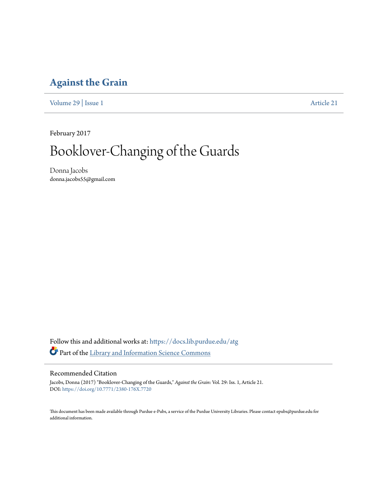## **[Against the Grain](https://docs.lib.purdue.edu/atg?utm_source=docs.lib.purdue.edu%2Fatg%2Fvol29%2Fiss1%2F21&utm_medium=PDF&utm_campaign=PDFCoverPages)**

[Volume 29](https://docs.lib.purdue.edu/atg/vol29?utm_source=docs.lib.purdue.edu%2Fatg%2Fvol29%2Fiss1%2F21&utm_medium=PDF&utm_campaign=PDFCoverPages) | [Issue 1](https://docs.lib.purdue.edu/atg/vol29/iss1?utm_source=docs.lib.purdue.edu%2Fatg%2Fvol29%2Fiss1%2F21&utm_medium=PDF&utm_campaign=PDFCoverPages) [Article 21](https://docs.lib.purdue.edu/atg/vol29/iss1/21?utm_source=docs.lib.purdue.edu%2Fatg%2Fvol29%2Fiss1%2F21&utm_medium=PDF&utm_campaign=PDFCoverPages)

February 2017

# Booklover-Changing of the Guards

Donna Jacobs donna.jacobs55@gmail.com

Follow this and additional works at: [https://docs.lib.purdue.edu/atg](https://docs.lib.purdue.edu/atg?utm_source=docs.lib.purdue.edu%2Fatg%2Fvol29%2Fiss1%2F21&utm_medium=PDF&utm_campaign=PDFCoverPages) Part of the [Library and Information Science Commons](http://network.bepress.com/hgg/discipline/1018?utm_source=docs.lib.purdue.edu%2Fatg%2Fvol29%2Fiss1%2F21&utm_medium=PDF&utm_campaign=PDFCoverPages)

### Recommended Citation

Jacobs, Donna (2017) "Booklover-Changing of the Guards," *Against the Grain*: Vol. 29: Iss. 1, Article 21. DOI: <https://doi.org/10.7771/2380-176X.7720>

This document has been made available through Purdue e-Pubs, a service of the Purdue University Libraries. Please contact epubs@purdue.edu for additional information.